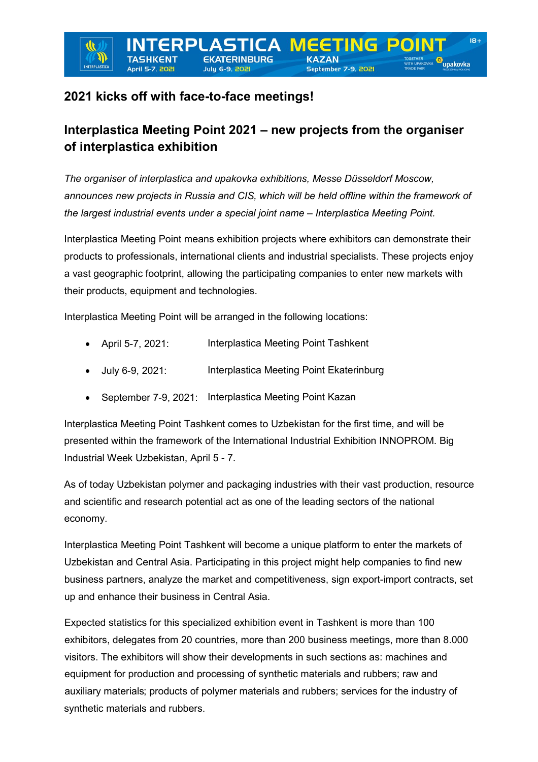**ERPLASTICA** 

# **2021 kicks off with face-to-face meetings!**

**April 5-7, 20** 

INTERPLAST

# **Interplastica Meeting Point 2021 – new projects from the organiser of interplastica exhibition**

**EETING** 

September 7-9, 2021

POIT

*The organiser of interplastica and upakovka exhibitions, Messe Düsseldorf Moscow, announces new projects in Russia and CIS, which will be held offline within the framework of the largest industrial events under a special joint name – Interplastica Meeting Point.*

Interplastica Meeting Point means exhibition projects where exhibitors can demonstrate their products to professionals, international clients and industrial specialists. These projects enjoy a vast geographic footprint, allowing the participating companies to enter new markets with their products, equipment and technologies.

Interplastica Meeting Point will be arranged in the following locations:

- April 5-7, 2021: Interplastica Meeting Point Tashkent
- July 6-9, 2021: Interplastica Meeting Point Ekaterinburg
- September 7-9, 2021: Interplastica Meeting Point Kazan

Interplastica Meeting Point Tashkent comes to Uzbekistan for the first time, and will be presented within the framework of the International Industrial Exhibition INNOPROM. Big Industrial Week Uzbekistan, April 5 - 7.

As of today Uzbekistan polymer and packaging industries with their vast production, resource and scientific and research potential act as one of the leading sectors of the national economy.

Interplastica Meeting Point Tashkent will become a unique platform to enter the markets of Uzbekistan and Central Asia. Participating in this project might help companies to find new business partners, analyze the market and competitiveness, sign export-import contracts, set up and enhance their business in Central Asia.

Expected statistics for this specialized exhibition event in Tashkent is more than 100 exhibitors, delegates from 20 countries, more than 200 business meetings, more than 8.000 visitors. The exhibitors will show their developments in such sections as: machines and equipment for production and processing of synthetic materials and rubbers; raw and auxiliary materials; products of polymer materials and rubbers; services for the industry of synthetic materials and rubbers.

upakovka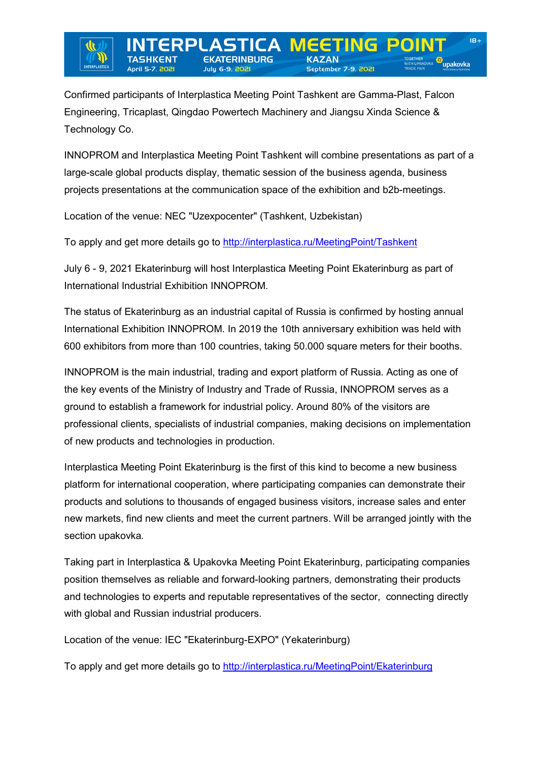Confirmed participants of Interplastica Meeting Point Tashkent are Gamma-Plast, Falcon Engineering, Tricaplast, Qingdao Powertech Machinery and Jiangsu Xinda Science & Technology Co.

**ASTICA M** 

**Julu 6-9, 202** 

**EETING** 

September 7-9, 2021

POIN

INNOPROM and Interplastica Meeting Point Tashkent will combine presentations as part of a large-scale global products display, thematic session of the business agenda, business projects presentations at the communication space of the exhibition and b2b-meetings.

Location of the venue: NEC "Uzexpocenter" (Tashkent, Uzbekistan)

ERPI

**April 5-7, 202** 

**INTERPLAST** 

To apply and get more details go to <http://interplastica.ru/MeetingPoint/Tashkent>

July 6 - 9, 2021 Ekaterinburg will host Interplastica Meeting Point Ekaterinburg as part of International Industrial Exhibition INNOPROM.

The status of Ekaterinburg as an industrial capital of Russia is confirmed by hosting annual International Exhibition INNOPROM. In 2019 the 10th anniversary exhibition was held with 600 exhibitors from more than 100 countries, taking 50.000 square meters for their booths.

INNOPROM is the main industrial, trading and export platform of Russia. Acting as one of the key events of the Ministry of Industry and Trade of Russia, INNOPROM serves as a ground to establish a framework for industrial policy. Around 80% of the visitors are professional clients, specialists of industrial companies, making decisions on implementation of new products and technologies in production.

Interplastica Meeting Point Ekaterinburg is the first of this kind to become a new business platform for international cooperation, where participating companies can demonstrate their products and solutions to thousands of engaged business visitors, increase sales and enter new markets, find new clients and meet the current partners. Will be arranged jointly with the section upakovka.

Taking part in Interplastica & Upakovka Meeting Point Ekaterinburg, participating companies position themselves as reliable and forward-looking partners, demonstrating their products and technologies to experts and reputable representatives of the sector, connecting directly with global and Russian industrial producers.

Location of the venue: IEC "Ekaterinburg-EXPO" (Yekaterinburg)

To apply and get more details go to <http://interplastica.ru/MeetingPoint/Ekaterinburg>

<sup>« upakovka</sup>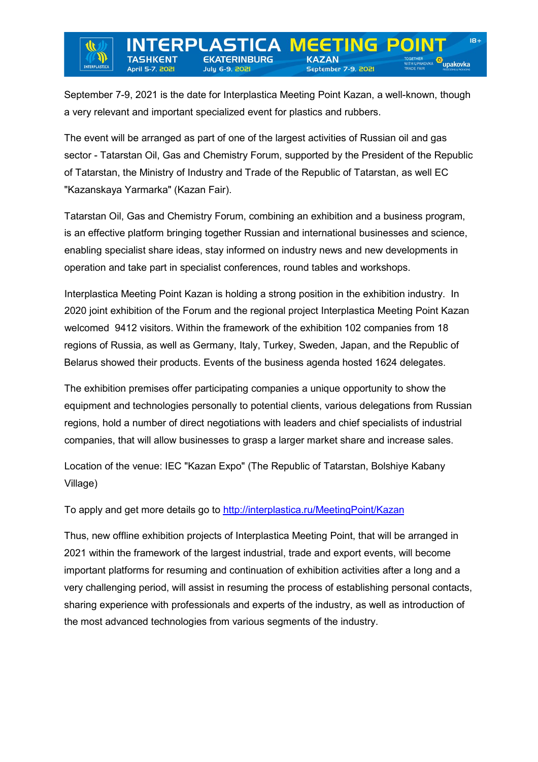upakovka

September 7-9, 2021 is the date for Interplastica Meeting Point Kazan, a well-known, though a very relevant and important specialized event for plastics and rubbers.

**Julu 6-9, 202** 

INTERPLASTIC

**April 5-7, 202** 

**EETING** 

September 7-9, 2021

The event will be arranged as part of one of the largest activities of Russian oil and gas sector - Tatarstan Oil, Gas and Chemistry Forum, supported by the President of the Republic of Tatarstan, the Ministry of Industry and Trade of the Republic of Tatarstan, as well EC "Kazanskaya Yarmarka" (Kazan Fair).

Tatarstan Oil, Gas and Chemistry Forum, combining an exhibition and a business program, is an effective platform bringing together Russian and international businesses and science, enabling specialist share ideas, stay informed on industry news and new developments in operation and take part in specialist conferences, round tables and workshops.

Interplastica Meeting Point Kazan is holding a strong position in the exhibition industry. In 2020 joint exhibition of the Forum and the regional project Interplastica Meeting Point Kazan welcomed 9412 visitors. Within the framework of the exhibition 102 companies from 18 regions of Russia, as well as Germany, Italy, Turkey, Sweden, Japan, and the Republic of Belarus showed their products. Events of the business agenda hosted 1624 delegates.

The exhibition premises offer participating companies a unique opportunity to show the equipment and technologies personally to potential clients, various delegations from Russian regions, hold a number of direct negotiations with leaders and chief specialists of industrial companies, that will allow businesses to grasp a larger market share and increase sales.

Location of the venue: IEC "Kazan Expo" (The Republic of Tatarstan, Bolshiye Kabany Village)

To apply and get more details go to <http://interplastica.ru/MeetingPoint/Kazan>

Thus, new offline exhibition projects of Interplastica Meeting Point, that will be arranged in 2021 within the framework of the largest industrial, trade and export events, will become important platforms for resuming and continuation of exhibition activities after a long and a very challenging period, will assist in resuming the process of establishing personal contacts, sharing experience with professionals and experts of the industry, as well as introduction of the most advanced technologies from various segments of the industry.